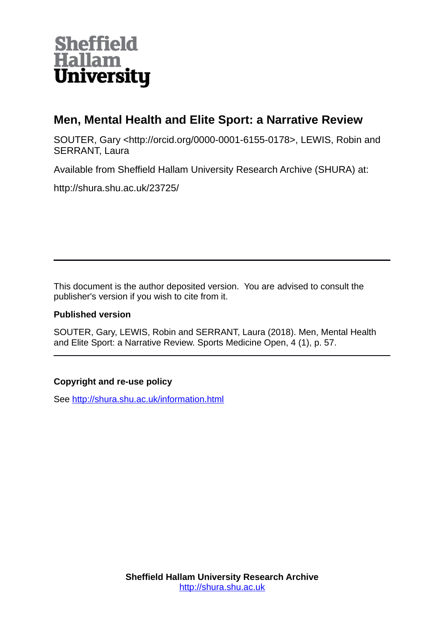

# **Men, Mental Health and Elite Sport: a Narrative Review**

SOUTER, Gary <http://orcid.org/0000-0001-6155-0178>, LEWIS, Robin and SERRANT, Laura

Available from Sheffield Hallam University Research Archive (SHURA) at:

http://shura.shu.ac.uk/23725/

This document is the author deposited version. You are advised to consult the publisher's version if you wish to cite from it.

## **Published version**

SOUTER, Gary, LEWIS, Robin and SERRANT, Laura (2018). Men, Mental Health and Elite Sport: a Narrative Review. Sports Medicine Open, 4 (1), p. 57.

# **Copyright and re-use policy**

See<http://shura.shu.ac.uk/information.html>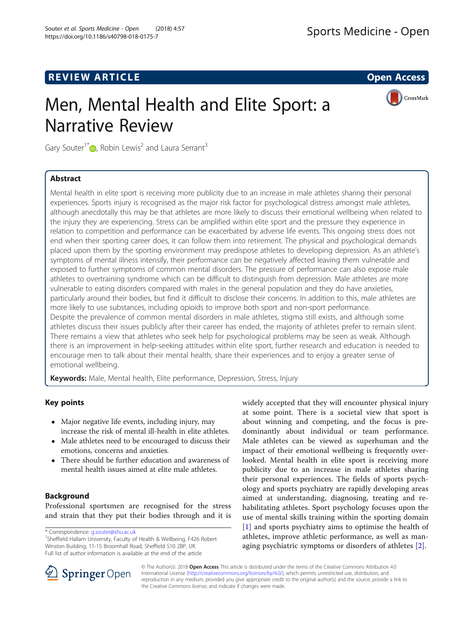# **REVIEW ARTICLE External intervention of the Contract Contract Contract Contract Contract Contract Contract Contract Contract Contract Contract Contract Contract Contract Contract Contract Contract Contract Contract Cont**

# Men, Mental Health and Elite Sport: a Narrative Review



Gary Souter<sup>1[\\*](http://orcid.org/0000-0001-6155-0178)</sup>  $\bullet$ , Robin Lewis<sup>2</sup> and Laura Serrant<sup>3</sup>

## Abstract

Mental health in elite sport is receiving more publicity due to an increase in male athletes sharing their personal experiences. Sports injury is recognised as the major risk factor for psychological distress amongst male athletes, although anecdotally this may be that athletes are more likely to discuss their emotional wellbeing when related to the injury they are experiencing. Stress can be amplified within elite sport and the pressure they experience in relation to competition and performance can be exacerbated by adverse life events. This ongoing stress does not end when their sporting career does, it can follow them into retirement. The physical and psychological demands placed upon them by the sporting environment may predispose athletes to developing depression. As an athlete's symptoms of mental illness intensify, their performance can be negatively affected leaving them vulnerable and exposed to further symptoms of common mental disorders. The pressure of performance can also expose male athletes to overtraining syndrome which can be difficult to distinguish from depression. Male athletes are more vulnerable to eating disorders compared with males in the general population and they do have anxieties, particularly around their bodies, but find it difficult to disclose their concerns. In addition to this, male athletes are more likely to use substances, including opioids to improve both sport and non-sport performance. Despite the prevalence of common mental disorders in male athletes, stigma still exists, and although some athletes discuss their issues publicly after their career has ended, the majority of athletes prefer to remain silent. There remains a view that athletes who seek help for psychological problems may be seen as weak. Although there is an improvement in help-seeking attitudes within elite sport, further research and education is needed to encourage men to talk about their mental health, share their experiences and to enjoy a greater sense of emotional wellbeing.

**Keywords:** Male, Mental health, Elite performance, Depression, Stress, Injury

## Key points

- Major negative life events, including injury, may increase the risk of mental ill-health in elite athletes.
- Male athletes need to be encouraged to discuss their emotions, concerns and anxieties.
- There should be further education and awareness of mental health issues aimed at elite male athletes.

### Background

Professional sportsmen are recognised for the stress and strain that they put their bodies through and it is

\* Correspondence: [g.souter@shu.ac.uk](mailto:g.souter@shu.ac.uk) <sup>1</sup>

<sup>1</sup>Sheffield Hallam University, Faculty of Health & Wellbeing, F426 Robert Winston Building, 11-15 Broomhall Road, Sheffield S10 2BP, UK Full list of author information is available at the end of the article

widely accepted that they will encounter physical injury at some point. There is a societal view that sport is about winning and competing, and the focus is predominantly about individual or team performance. Male athletes can be viewed as superhuman and the impact of their emotional wellbeing is frequently overlooked. Mental health in elite sport is receiving more publicity due to an increase in male athletes sharing their personal experiences. The fields of sports psychology and sports psychiatry are rapidly developing areas aimed at understanding, diagnosing, treating and rehabilitating athletes. Sport psychology focuses upon the use of mental skills training within the sporting domain [[1](#page-6-0)] and sports psychiatry aims to optimise the health of athletes, improve athletic performance, as well as managing psychiatric symptoms or disorders of athletes [\[2](#page-6-0)].



© The Author(s). 2018 Open Access This article is distributed under the terms of the Creative Commons Attribution 4.0 International License ([http://creativecommons.org/licenses/by/4.0/\)](http://creativecommons.org/licenses/by/4.0/), which permits unrestricted use, distribution, and reproduction in any medium, provided you give appropriate credit to the original author(s) and the source, provide a link to the Creative Commons license, and indicate if changes were made.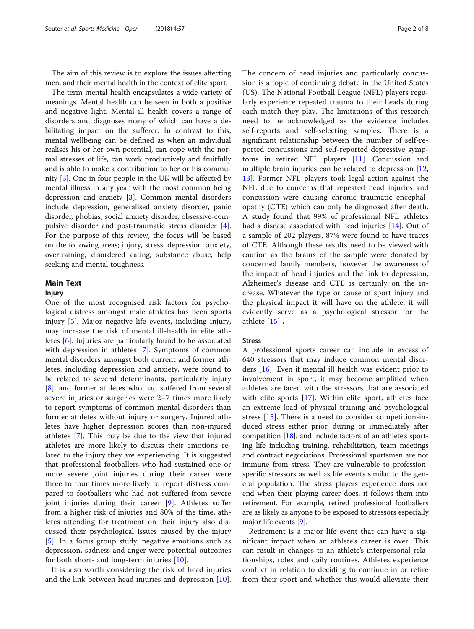The aim of this review is to explore the issues affecting men, and their mental health in the context of elite sport.

The term mental health encapsulates a wide variety of meanings. Mental health can be seen in both a positive and negative light. Mental ill health covers a range of disorders and diagnoses many of which can have a debilitating impact on the sufferer. In contrast to this, mental wellbeing can be defined as when an individual realises his or her own potential, can cope with the normal stresses of life, can work productively and fruitfully and is able to make a contribution to her or his community [\[3](#page-6-0)]. One in four people in the UK will be affected by mental illness in any year with the most common being depression and anxiety [[3\]](#page-6-0). Common mental disorders include depression, generalised anxiety disorder, panic disorder, phobias, social anxiety disorder, obsessive-compulsive disorder and post-traumatic stress disorder [\[4](#page-6-0)]. For the purpose of this review, the focus will be based on the following areas; injury, stress, depression, anxiety, overtraining, disordered eating, substance abuse, help seeking and mental toughness.

#### Main Text

#### Injury

One of the most recognised risk factors for psychological distress amongst male athletes has been sports injury [\[5](#page-6-0)]. Major negative life events, including injury, may increase the risk of mental ill-health in elite athletes [[6\]](#page-6-0). Injuries are particularly found to be associated with depression in athletes [[7](#page-6-0)]. Symptoms of common mental disorders amongst both current and former athletes, including depression and anxiety, were found to be related to several determinants, particularly injury [[8\]](#page-6-0), and former athletes who had suffered from several severe injuries or surgeries were 2–7 times more likely to report symptoms of common mental disorders than former athletes without injury or surgery. Injured athletes have higher depression scores than non-injured athletes [[7\]](#page-6-0). This may be due to the view that injured athletes are more likely to discuss their emotions related to the injury they are experiencing. It is suggested that professional footballers who had sustained one or more severe joint injuries during their career were three to four times more likely to report distress compared to footballers who had not suffered from severe joint injuries during their career [[9\]](#page-6-0). Athletes suffer from a higher risk of injuries and 80% of the time, athletes attending for treatment on their injury also discussed their psychological issues caused by the injury [[5\]](#page-6-0). In a focus group study, negative emotions such as depression, sadness and anger were potential outcomes for both short- and long-term injuries [\[10](#page-6-0)].

It is also worth considering the risk of head injuries and the link between head injuries and depression [\[10](#page-6-0)].

The concern of head injuries and particularly concussion is a topic of continuing debate in the United States (US). The National Football League (NFL) players regularly experience repeated trauma to their heads during each match they play. The limitations of this research need to be acknowledged as the evidence includes self-reports and self-selecting samples. There is a significant relationship between the number of self-reported concussions and self-reported depressive symptoms in retired NFL players [[11\]](#page-6-0). Concussion and multiple brain injuries can be related to depression [\[12](#page-6-0), [13\]](#page-6-0). Former NFL players took legal action against the NFL due to concerns that repeated head injuries and concussion were causing chronic traumatic encephalopathy (CTE) which can only be diagnosed after death. A study found that 99% of professional NFL athletes had a disease associated with head injuries [[14\]](#page-7-0). Out of a sample of 202 players, 87% were found to have traces of CTE. Although these results need to be viewed with caution as the brains of the sample were donated by concerned family members, however the awareness of the impact of head injuries and the link to depression, Alzheimer's disease and CTE is certainly on the increase. Whatever the type or cause of sport injury and the physical impact it will have on the athlete, it will evidently serve as a psychological stressor for the athlete [[15\]](#page-7-0) .

#### **Stress**

A professional sports career can include in excess of 640 stressors that may induce common mental disorders [[16\]](#page-7-0). Even if mental ill health was evident prior to involvement in sport, it may become amplified when athletes are faced with the stressors that are associated with elite sports [\[17](#page-7-0)]. Within elite sport, athletes face an extreme load of physical training and psychological stress [\[15\]](#page-7-0). There is a need to consider competition-induced stress either prior, during or immediately after competition [\[18\]](#page-7-0), and include factors of an athlete's sporting life including training, rehabilitation, team meetings and contract negotiations. Professional sportsmen are not immune from stress. They are vulnerable to professionspecific stressors as well as life events similar to the general population. The stress players experience does not end when their playing career does, it follows them into retirement. For example, retired professional footballers are as likely as anyone to be exposed to stressors especially major life events [\[9](#page-6-0)].

Retirement is a major life event that can have a significant impact when an athlete's career is over. This can result in changes to an athlete's interpersonal relationships, roles and daily routines. Athletes experience conflict in relation to deciding to continue in or retire from their sport and whether this would alleviate their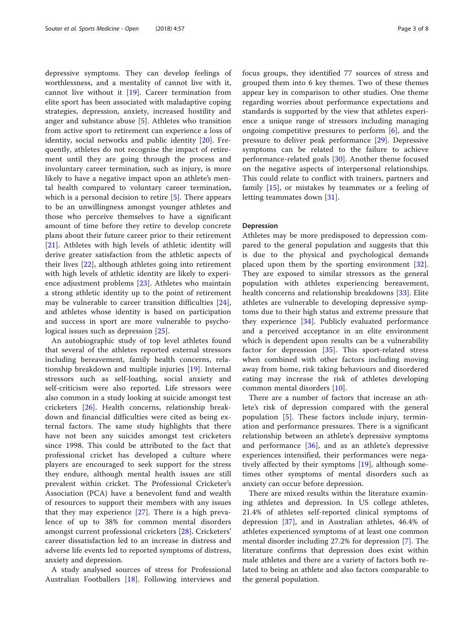depressive symptoms. They can develop feelings of worthlessness, and a mentality of cannot live with it, cannot live without it [\[19](#page-7-0)]. Career termination from elite sport has been associated with maladaptive coping strategies, depression, anxiety, increased hostility and anger and substance abuse [[5\]](#page-6-0). Athletes who transition from active sport to retirement can experience a loss of identity, social networks and public identity [[20\]](#page-7-0). Frequently, athletes do not recognise the impact of retirement until they are going through the process and involuntary career termination, such as injury, is more likely to have a negative impact upon an athlete's mental health compared to voluntary career termination, which is a personal decision to retire [[5\]](#page-6-0). There appears to be an unwillingness amongst younger athletes and those who perceive themselves to have a significant amount of time before they retire to develop concrete plans about their future career prior to their retirement [[21\]](#page-7-0). Athletes with high levels of athletic identity will derive greater satisfaction from the athletic aspects of their lives [[22](#page-7-0)], although athletes going into retirement with high levels of athletic identity are likely to experience adjustment problems [\[23](#page-7-0)]. Athletes who maintain a strong athletic identity up to the point of retirement may be vulnerable to career transition difficulties [\[24](#page-7-0)], and athletes whose identity is based on participation and success in sport are more vulnerable to psychological issues such as depression [[25\]](#page-7-0).

An autobiographic study of top level athletes found that several of the athletes reported external stressors including bereavement, family health concerns, relationship breakdown and multiple injuries [[19](#page-7-0)]. Internal stressors such as self-loathing, social anxiety and self-criticism were also reported. Life stressors were also common in a study looking at suicide amongst test cricketers [[26\]](#page-7-0). Health concerns, relationship breakdown and financial difficulties were cited as being external factors. The same study highlights that there have not been any suicides amongst test cricketers since 1998. This could be attributed to the fact that professional cricket has developed a culture where players are encouraged to seek support for the stress they endure, although mental health issues are still prevalent within cricket. The Professional Cricketer's Association (PCA) have a benevolent fund and wealth of resources to support their members with any issues that they may experience [\[27](#page-7-0)]. There is a high prevalence of up to 38% for common mental disorders amongst current professional cricketers [[28\]](#page-7-0). Cricketers' career dissatisfaction led to an increase in distress and adverse life events led to reported symptoms of distress, anxiety and depression.

A study analysed sources of stress for Professional Australian Footballers [[18\]](#page-7-0). Following interviews and focus groups, they identified 77 sources of stress and grouped them into 6 key themes. Two of these themes appear key in comparison to other studies. One theme regarding worries about performance expectations and standards is supported by the view that athletes experience a unique range of stressors including managing ongoing competitive pressures to perform  $[6]$  $[6]$ , and the pressure to deliver peak performance [[29\]](#page-7-0). Depressive symptoms can be related to the failure to achieve performance-related goals [[30\]](#page-7-0). Another theme focused on the negative aspects of interpersonal relationships. This could relate to conflict with trainers, partners and family [[15](#page-7-0)], or mistakes by teammates or a feeling of letting teammates down [\[31](#page-7-0)].

#### Depression

Athletes may be more predisposed to depression compared to the general population and suggests that this is due to the physical and psychological demands placed upon them by the sporting environment [\[32](#page-7-0)]. They are exposed to similar stressors as the general population with athletes experiencing bereavement, health concerns and relationship breakdowns [\[33](#page-7-0)]. Elite athletes are vulnerable to developing depressive symptoms due to their high status and extreme pressure that they experience [\[34](#page-7-0)]. Publicly evaluated performance and a perceived acceptance in an elite environment which is dependent upon results can be a vulnerability factor for depression [\[35](#page-7-0)]. This sport-related stress when combined with other factors including moving away from home, risk taking behaviours and disordered eating may increase the risk of athletes developing common mental disorders [[10\]](#page-6-0).

There are a number of factors that increase an athlete's risk of depression compared with the general population [[5\]](#page-6-0). These factors include injury, termination and performance pressures. There is a significant relationship between an athlete's depressive symptoms and performance  $[36]$  $[36]$ , and as an athlete's depressive experiences intensified, their performances were negatively affected by their symptoms [\[19](#page-7-0)], although sometimes other symptoms of mental disorders such as anxiety can occur before depression.

There are mixed results within the literature examining athletes and depression. In US college athletes, 21.4% of athletes self-reported clinical symptoms of depression [[37\]](#page-7-0), and in Australian athletes, 46.4% of athletes experienced symptoms of at least one common mental disorder including 27.2% for depression [[7\]](#page-6-0). The literature confirms that depression does exist within male athletes and there are a variety of factors both related to being an athlete and also factors comparable to the general population.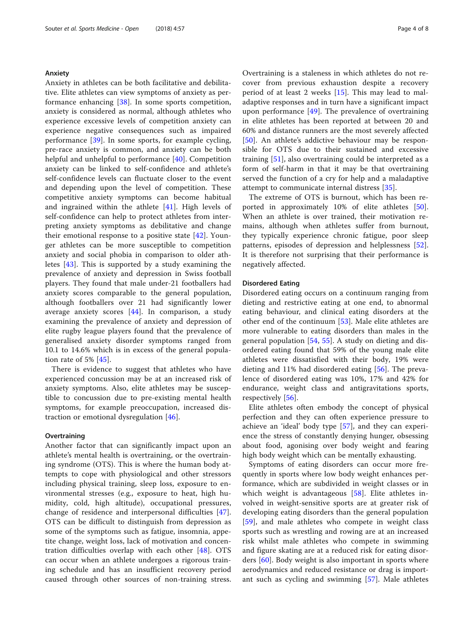#### Anxiety

Anxiety in athletes can be both facilitative and debilitative. Elite athletes can view symptoms of anxiety as performance enhancing [\[38](#page-7-0)]. In some sports competition, anxiety is considered as normal, although athletes who experience excessive levels of competition anxiety can experience negative consequences such as impaired performance [\[39](#page-7-0)]. In some sports, for example cycling, pre-race anxiety is common, and anxiety can be both helpful and unhelpful to performance [[40\]](#page-7-0). Competition anxiety can be linked to self-confidence and athlete's self-confidence levels can fluctuate closer to the event and depending upon the level of competition. These competitive anxiety symptoms can become habitual and ingrained within the athlete [[41](#page-7-0)]. High levels of self-confidence can help to protect athletes from interpreting anxiety symptoms as debilitative and change their emotional response to a positive state [[42\]](#page-7-0). Younger athletes can be more susceptible to competition anxiety and social phobia in comparison to older athletes [[43\]](#page-7-0). This is supported by a study examining the prevalence of anxiety and depression in Swiss football players. They found that male under-21 footballers had anxiety scores comparable to the general population, although footballers over 21 had significantly lower average anxiety scores [\[44](#page-7-0)]. In comparison, a study examining the prevalence of anxiety and depression of elite rugby league players found that the prevalence of generalised anxiety disorder symptoms ranged from 10.1 to 14.6% which is in excess of the general population rate of 5% [\[45](#page-7-0)].

There is evidence to suggest that athletes who have experienced concussion may be at an increased risk of anxiety symptoms. Also, elite athletes may be susceptible to concussion due to pre-existing mental health symptoms, for example preoccupation, increased distraction or emotional dysregulation [[46\]](#page-7-0).

#### **Overtraining**

Another factor that can significantly impact upon an athlete's mental health is overtraining, or the overtraining syndrome (OTS). This is where the human body attempts to cope with physiological and other stressors including physical training, sleep loss, exposure to environmental stresses (e.g., exposure to heat, high humidity, cold, high altitude), occupational pressures, change of residence and interpersonal difficulties [\[47](#page-7-0)]. OTS can be difficult to distinguish from depression as some of the symptoms such as fatigue, insomnia, appetite change, weight loss, lack of motivation and concentration difficulties overlap with each other [[48\]](#page-7-0). OTS can occur when an athlete undergoes a rigorous training schedule and has an insufficient recovery period caused through other sources of non-training stress.

Overtraining is a staleness in which athletes do not recover from previous exhaustion despite a recovery period of at least 2 weeks [\[15](#page-7-0)]. This may lead to maladaptive responses and in turn have a significant impact upon performance [\[49](#page-7-0)]. The prevalence of overtraining in elite athletes has been reported at between 20 and 60% and distance runners are the most severely affected [[50\]](#page-7-0). An athlete's addictive behaviour may be responsible for OTS due to their sustained and excessive training [[51\]](#page-7-0), also overtraining could be interpreted as a form of self-harm in that it may be that overtraining served the function of a cry for help and a maladaptive attempt to communicate internal distress [\[35](#page-7-0)].

The extreme of OTS is burnout, which has been reported in approximately 10% of elite athletes [\[50](#page-7-0)]. When an athlete is over trained, their motivation remains, although when athletes suffer from burnout, they typically experience chronic fatigue, poor sleep patterns, episodes of depression and helplessness [\[52](#page-7-0)]. It is therefore not surprising that their performance is negatively affected.

#### Disordered Eating

Disordered eating occurs on a continuum ranging from dieting and restrictive eating at one end, to abnormal eating behaviour, and clinical eating disorders at the other end of the continuum [[53\]](#page-7-0). Male elite athletes are more vulnerable to eating disorders than males in the general population  $[54, 55]$  $[54, 55]$  $[54, 55]$ . A study on dieting and disordered eating found that 59% of the young male elite athletes were dissatisfied with their body, 19% were dieting and 11% had disordered eating [[56\]](#page-7-0). The prevalence of disordered eating was 10%, 17% and 42% for endurance, weight class and antigravitations sports, respectively [[56\]](#page-7-0).

Elite athletes often embody the concept of physical perfection and they can often experience pressure to achieve an 'ideal' body type [\[57](#page-7-0)], and they can experience the stress of constantly denying hunger, obsessing about food, agonising over body weight and fearing high body weight which can be mentally exhausting.

Symptoms of eating disorders can occur more frequently in sports where low body weight enhances performance, which are subdivided in weight classes or in which weight is advantageous [[58\]](#page-7-0). Elite athletes involved in weight-sensitive sports are at greater risk of developing eating disorders than the general population [[59\]](#page-7-0), and male athletes who compete in weight class sports such as wrestling and rowing are at an increased risk whilst male athletes who compete in swimming and figure skating are at a reduced risk for eating disorders [\[60](#page-7-0)]. Body weight is also important in sports where aerodynamics and reduced resistance or drag is important such as cycling and swimming [[57\]](#page-7-0). Male athletes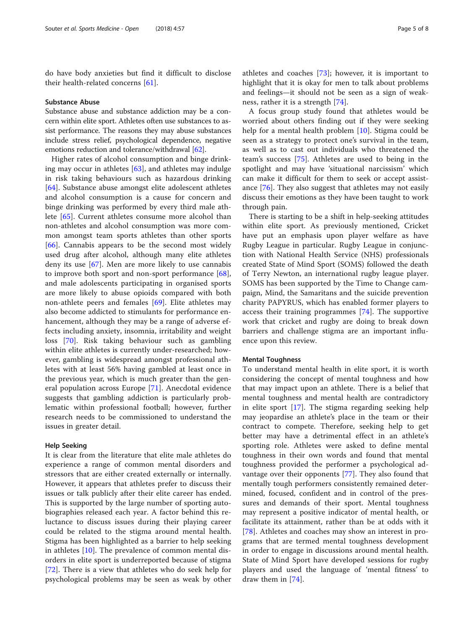do have body anxieties but find it difficult to disclose their health-related concerns [[61](#page-7-0)].

#### Substance Abuse

Substance abuse and substance addiction may be a concern within elite sport. Athletes often use substances to assist performance. The reasons they may abuse substances include stress relief, psychological dependence, negative emotions reduction and tolerance/withdrawal [\[62](#page-7-0)].

Higher rates of alcohol consumption and binge drinking may occur in athletes [\[63](#page-7-0)], and athletes may indulge in risk taking behaviours such as hazardous drinking [[64\]](#page-7-0). Substance abuse amongst elite adolescent athletes and alcohol consumption is a cause for concern and binge drinking was performed by every third male athlete [[65\]](#page-7-0). Current athletes consume more alcohol than non-athletes and alcohol consumption was more common amongst team sports athletes than other sports [[66\]](#page-7-0). Cannabis appears to be the second most widely used drug after alcohol, although many elite athletes deny its use [[67\]](#page-8-0). Men are more likely to use cannabis to improve both sport and non-sport performance  $[68]$  $[68]$ , and male adolescents participating in organised sports are more likely to abuse opioids compared with both non-athlete peers and females [[69](#page-8-0)]. Elite athletes may also become addicted to stimulants for performance enhancement, although they may be a range of adverse effects including anxiety, insomnia, irritability and weight loss [[70\]](#page-8-0). Risk taking behaviour such as gambling within elite athletes is currently under-researched; however, gambling is widespread amongst professional athletes with at least 56% having gambled at least once in the previous year, which is much greater than the general population across Europe [[71\]](#page-8-0). Anecdotal evidence suggests that gambling addiction is particularly problematic within professional football; however, further research needs to be commissioned to understand the issues in greater detail.

#### Help Seeking

It is clear from the literature that elite male athletes do experience a range of common mental disorders and stressors that are either created externally or internally. However, it appears that athletes prefer to discuss their issues or talk publicly after their elite career has ended. This is supported by the large number of sporting autobiographies released each year. A factor behind this reluctance to discuss issues during their playing career could be related to the stigma around mental health. Stigma has been highlighted as a barrier to help seeking in athletes [\[10](#page-6-0)]. The prevalence of common mental disorders in elite sport is underreported because of stigma [[72\]](#page-8-0). There is a view that athletes who do seek help for psychological problems may be seen as weak by other athletes and coaches [\[73](#page-8-0)]; however, it is important to highlight that it is okay for men to talk about problems and feelings—it should not be seen as a sign of weakness, rather it is a strength [\[74](#page-8-0)].

A focus group study found that athletes would be worried about others finding out if they were seeking help for a mental health problem [[10\]](#page-6-0). Stigma could be seen as a strategy to protect one's survival in the team, as well as to cast out individuals who threatened the team's success [\[75](#page-8-0)]. Athletes are used to being in the spotlight and may have 'situational narcissism' which can make it difficult for them to seek or accept assistance [[76\]](#page-8-0). They also suggest that athletes may not easily discuss their emotions as they have been taught to work through pain.

There is starting to be a shift in help-seeking attitudes within elite sport. As previously mentioned, Cricket have put an emphasis upon player welfare as have Rugby League in particular. Rugby League in conjunction with National Health Service (NHS) professionals created State of Mind Sport (SOMS) followed the death of Terry Newton, an international rugby league player. SOMS has been supported by the Time to Change campaign, Mind, the Samaritans and the suicide prevention charity PAPYRUS, which has enabled former players to access their training programmes [[74\]](#page-8-0). The supportive work that cricket and rugby are doing to break down barriers and challenge stigma are an important influence upon this review.

#### Mental Toughness

To understand mental health in elite sport, it is worth considering the concept of mental toughness and how that may impact upon an athlete. There is a belief that mental toughness and mental health are contradictory in elite sport [[17\]](#page-7-0). The stigma regarding seeking help may jeopardise an athlete's place in the team or their contract to compete. Therefore, seeking help to get better may have a detrimental effect in an athlete's sporting role. Athletes were asked to define mental toughness in their own words and found that mental toughness provided the performer a psychological advantage over their opponents [[77](#page-8-0)]. They also found that mentally tough performers consistently remained determined, focused, confident and in control of the pressures and demands of their sport. Mental toughness may represent a positive indicator of mental health, or facilitate its attainment, rather than be at odds with it [[78\]](#page-8-0). Athletes and coaches may show an interest in programs that are termed mental toughness development in order to engage in discussions around mental health. State of Mind Sport have developed sessions for rugby players and used the language of 'mental fitness' to draw them in [[74\]](#page-8-0).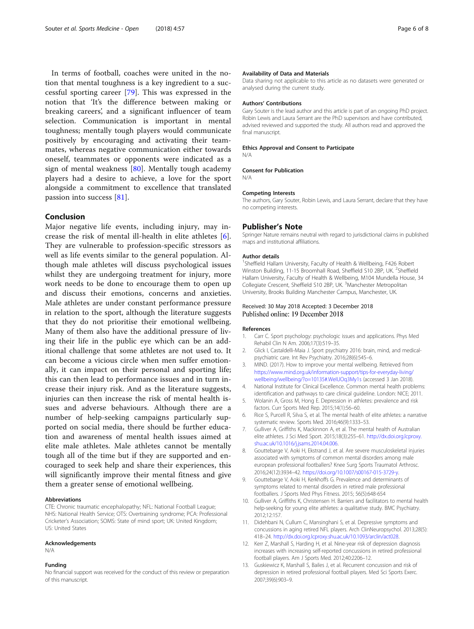<span id="page-6-0"></span>In terms of football, coaches were united in the notion that mental toughness is a key ingredient to a successful sporting career [[79\]](#page-8-0). This was expressed in the notion that 'It's the difference between making or breaking careers', and a significant influencer of team selection. Communication is important in mental toughness; mentally tough players would communicate positively by encouraging and activating their teammates, whereas negative communication either towards oneself, teammates or opponents were indicated as a sign of mental weakness [\[80](#page-8-0)]. Mentally tough academy players had a desire to achieve, a love for the sport alongside a commitment to excellence that translated passion into success [[81\]](#page-8-0).

#### Conclusion

Major negative life events, including injury, may increase the risk of mental ill-health in elite athletes [6]. They are vulnerable to profession-specific stressors as well as life events similar to the general population. Although male athletes will discuss psychological issues whilst they are undergoing treatment for injury, more work needs to be done to encourage them to open up and discuss their emotions, concerns and anxieties. Male athletes are under constant performance pressure in relation to the sport, although the literature suggests that they do not prioritise their emotional wellbeing. Many of them also have the additional pressure of living their life in the public eye which can be an additional challenge that some athletes are not used to. It can become a vicious circle when men suffer emotionally, it can impact on their personal and sporting life; this can then lead to performance issues and in turn increase their injury risk. And as the literature suggests, injuries can then increase the risk of mental health issues and adverse behaviours. Although there are a number of help-seeking campaigns particularly supported on social media, there should be further education and awareness of mental health issues aimed at elite male athletes. Male athletes cannot be mentally tough all of the time but if they are supported and encouraged to seek help and share their experiences, this will significantly improve their mental fitness and give them a greater sense of emotional wellbeing.

#### Abbreviations

CTE: Chronic traumatic encephalopathy; NFL: National Football League; NHS: National Health Service; OTS: Overtraining syndrome; PCA: Professional Cricketer's Association; SOMS: State of mind sport; UK: United Kingdom; US: United States

#### Acknowledgements

N/A

#### Funding

No financial support was received for the conduct of this review or preparation of this manuscript.

#### Availability of Data and Materials

Data sharing not applicable to this article as no datasets were generated or analysed during the current study.

#### Authors' Contributions

Gary Souter is the lead author and this article is part of an ongoing PhD project. Robin Lewis and Laura Serrant are the PhD supervisors and have contributed, advised reviewed and supported the study. All authors read and approved the final manuscript.

#### Ethics Approval and Consent to Participate N/A

#### Consent for Publication

N/A

#### Competing Interests

The authors, Gary Souter, Robin Lewis, and Laura Serrant, declare that they have no competing interests.

#### Publisher's Note

Springer Nature remains neutral with regard to jurisdictional claims in published maps and institutional affiliations.

#### Author details

<sup>1</sup>Sheffield Hallam University, Faculty of Health & Wellbeing, F426 Robert Winston Building, 11-15 Broomhall Road, Sheffield S10 2BP, UK. <sup>2</sup>Sheffield Hallam University, Faculty of Health & Wellbeing, M104 Mundella House, 34 Collegiate Crescent, Sheffield S10 2BP, UK. <sup>3</sup>Manchester Metropolitan University, Brooks Building Manchester Campus, Manchester, UK.

#### Received: 30 May 2018 Accepted: 3 December 2018 Published online: 19 December 2018

#### References

- 1. Carr C. Sport psychology: psychologic issues and applications. Phys Med Rehabil Clin N Am. 2006;17(3):519–35.
- 2. Glick I, Castaldelli-Maia J. Sport psychiatry 2016: brain, mind, and medicalpsychiatric care. Int Rev Psychiatry. 2016;28(6):545–6.
- MIND. (2017). How to improve your mental wellbeing. Retrieved from [https://www.mind.org.uk/information-support/tips-for-everyday-living/](https://www.mind.org.uk/information-support/tips-for-everyday-living/wellbeing/wellbeing/?o=10135#.WeIUOq3My1s) [wellbeing/wellbeing/?o=10135#.WeIUOq3My1s](https://www.mind.org.uk/information-support/tips-for-everyday-living/wellbeing/wellbeing/?o=10135#.WeIUOq3My1s) (accessed 3 Jan 2018).
- 4. National Institute for Clinical Excellence. Common mental health problems: identification and pathways to care clinical guideline. London: NICE; 2011.
- 5. Wolanin A, Gross M, Hong E. Depression in athletes: prevalence and risk factors. Curr Sports Med Rep. 2015;14(1):56–60.
- 6. Rice S, Purcell R, Silva S, et al. The mental health of elite athletes: a narrative systematic review. Sports Med. 2016;46(9):1333–53.
- 7. Gulliver A, Griffiths K, Mackinnon A, et al. The mental health of Australian elite athletes. J Sci Med Sport. 2015;18(3):255–61. [http://dx.doi.org.lcproxy.](http://dx.doi.org.lcproxy.shu.ac.uk/10.1016/j.jsams.2014.04.006) [shu.ac.uk/10.1016/j.jsams.2014.04.006](http://dx.doi.org.lcproxy.shu.ac.uk/10.1016/j.jsams.2014.04.006).
- 8. Gouttebarge V, Aoki H, Ekstrand J, et al. Are severe musculoskeletal injuries associated with symptoms of common mental disorders among male european professional footballers? Knee Surg Sports Traumatol Arthrosc. 2016;24(12):3934–42. [https://doi.org/10.1007/s00167-015-3729-y.](https://doi.org/10.1007/s00167-015-3729-y)
- 9. Gouttebarge V, Aoki H, Kerkhoffs G. Prevalence and determinants of symptoms related to mental disorders in retired male professional footballers. J Sports Med Phys Fitness. 2015; 56(5):648-654
- 10. Gulliver A, Griffiths K, Christensen H. Barriers and facilitators to mental health help-seeking for young elite athletes: a qualitative study. BMC Psychiatry. 2012;12:157.
- 11. Didehbani N, Cullum C, Mansinghani S, et al. Depressive symptoms and concussions in aging retired NFL players. Arch ClinNeuropsychol. 2013;28(5): 418–24. [http://dx.doi.org.lcproxy.shu.ac.uk/10.1093/arclin/act028.](http://dx.doi.org.lcproxy.shu.ac.uk/10.1093/arclin/act028)
- 12. Kerr Z, Marshall S, Harding H, et al. Nine-year risk of depression diagnosis increases with increasing self-reported concussions in retired professional football players. Am J Sports Med. 2012;40:2206–12.
- 13. Guskiewicz K, Marshall S, Bailes J, et al. Recurrent concussion and risk of depression in retired professional football players. Med Sci Sports Exerc. 2007;39(6):903–9.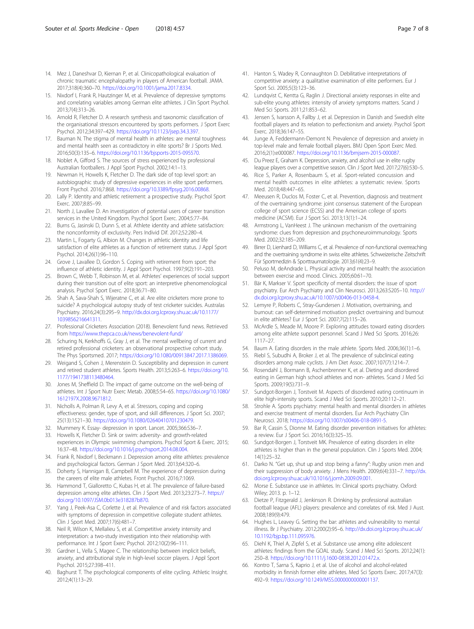- <span id="page-7-0"></span>14. Mez J, Daneshvar D, Kiernan P, et al. Clinicopathological evaluation of chronic traumatic encephalopathy in players of American football. JAMA. 2017;318(4):360–70. [https://doi.org/10.1001/jama.2017.8334.](https://doi.org/10.1001/jama.2017.8334)
- 15. Nixdorf I, Frank R, Hautzinger M, et al. Prevalence of depressive symptoms and correlating variables among German elite athletes. J Clin Sport Psychol. 2013;7(4):313–26.
- 16. Arnold R, Fletcher D. A research synthesis and taxonomic classification of the organisational stressors encountered by sports performers. J Sport Exerc Psychol. 2012;34:397–429. <https://doi.org/10.1123/jsep.34.3.397>.
- 17. Bauman N. The stigma of mental health in athletes: are mental toughness and mental health seen as contradictory in elite sports? Br J Sports Med. 2016;50(3):135–6. <https://doi.org/10.1136/bjsports-2015-095570>.
- 18. Noblet A, Gifford S. The sources of stress experienced by professional Australian footballers. J Appl Sport Psychol. 2002;14:1–13.
- 19. Newman H, Howells K, Fletcher D. The dark side of top level sport: an autobiographic study of depressive experiences in elite sport performers. Front Psychol. 2016;7:868. <https://doi.org/10.3389/fpsyg.2016.00868>.
- 20. Lally P. Identity and athletic retirement: a prospective study. Psychol Sport Exerc. 2007;8:85–99.
- 21. North J, Lavallee D. An investigation of potential users of career transition services in the United Kingdom. Psychol Sport Exerc. 2004;5:77–84.
- 22. Burns G, Jasinski D, Dunn S, et al. Athlete identity and athlete satisfaction: the nonconformity of exclusivity. Pers Individ Dif. 2012;52:280–4.
- 23. Martin L, Fogarty G, Albion M. Changes in athletic identity and life satisfaction of elite athletes as a function of retirement status. J Appl Sport Psychol. 2014;26(1):96–110.
- 24. Grove J, Lavallee D, Gordon S. Coping with retirement from sport: the influence of athletic identity. J Appl Sport Psychol. 1997;9(2):191–203.
- 25. Brown C, Webb T, Robinson M, et al. Athletes' experiences of social support during their transition out of elite sport: an interpretive phenomenological analysis. Psychol Sport Exerc. 2018;36:71–80.
- 26. Shah A, Sava-Shah S, Wijeratne C, et al. Are elite cricketers more prone to suicide? A psychological autopsy study of test cricketer suicides. Australas Psychiatry. 2016;24(3):295–9. [http://dx.doi.org.lcproxy.shu.ac.uk/10.1177/](http://dx.doi.org.lcproxy.shu.ac.uk/10.1177/1039856216641311) [1039856216641311](http://dx.doi.org.lcproxy.shu.ac.uk/10.1177/1039856216641311).
- 27. Professional Cricketers Association (2018). Benevolent fund news. Retrieved from <https://www.thepca.co.uk/news/benevolent-fund/>
- 28. Schuring N, Kerkhoffs G, Gray J, et al. The mental wellbeing of current and retired professional cricketers: an observational prospective cohort study. The Phys Sportsmed. 2017; [https://doi.org/10.1080/00913847.2017.1386069.](https://doi.org/10.1080/00913847.2017.1386069)
- 29. Weigand S, Cohen J, Merenstein D. Susceptibility and depression in current and retired student athletes. Sports Health. 2013;5:263–6. [https://doi.org/10.](https://doi.org/10.1177/1941738113480464) [1177/1941738113480464](https://doi.org/10.1177/1941738113480464).
- 30. Jones M, Sheffield D. The impact of game outcome on the well-being of athletes. Int J Sport Nutr Exerc Metab. 2008;5:54–65. [https://doi.org/10.1080/](https://doi.org/10.1080/1612197X.2008.9671812) [1612197X.2008.9671812](https://doi.org/10.1080/1612197X.2008.9671812).
- 31. Nicholls A, Polman R, Levy A, et al. Stressors, coping and coping effectiveness: gender, type of sport, and skill differences. J Sport Sci. 2007; 25(13):1521–30. [https://doi.org/10.1080/02640410701230479.](https://doi.org/10.1080/02640410701230479)
- 32. Mummery K. Essay- depression in sport. Lancet. 2005;366:S36–7.
- 33. Howells K, Fletcher D. Sink or swim: adversity- and growth-related experiences in Olympic swimming champions. Psychol Sport & Exerc. 2015; 16:37–48. <https://doi.org/10.1016/j.psychsport.2014.08.004>.
- 34. Frank R, Nixdorf I, Beckmann J. Depression among elite athletes: prevalence and psychological factors. German J Sport Med. 2013;64:320–6.
- 35. Doherty S, Hannigan B, Campbell M. The experience of depression during the careers of elite male athletes. Front Psychol. 2016;7:1069.
- 36. Hammond T, Gialloretto C, Kubas H, et al. The prevalence of failure-based depression among elite athletes. Clin J Sport Med. 2013;23:273–7. [https://](https://doi.org/10.1097/JSM.0b013e318287b870) [doi.org/10.1097/JSM.0b013e318287b870](https://doi.org/10.1097/JSM.0b013e318287b870).
- 37. Yang J, Peek-Asa C, Corlette J, et al. Prevalence of and risk factors associated with symptoms of depression in competitive collegiate student athletes. Clin J Sport Med. 2007;17(6):481–7.
- 38. Neil R, Wilson K, Mellalieu S, et al. Competitive anxiety intensity and interpretation: a two-study investigation into their relationship with performance. Int J Sport Exerc Psychol. 2012;10(2):96–111.
- 39. Gardner L, Vella S, Magee C. The relationship between implicit beliefs, anxiety, and attributional style in high-level soccer players. J Appl Sport Psychol. 2015;27:398–411.
- 40. Baghurst T. The psychological components of elite cycling. Athletic Insight. 2012;4(1):13–29.
- 41. Hanton S, Wadey R, Connaughton D. Debilitative interpretations of competitive anxiety: a qualitative examination of elite performers. Eur J Sport Sci. 2005;5(3):123–36.
- 42. Lundqvist C, Kentta G, Raglin J. Directional anxiety responses in elite and sub-elite young athletes: intensity of anxiety symptoms matters. Scand J Med Sci Sports. 2011;21:853–62.
- Jensen S, Ivarsson A, Fallby J, et al. Depression in Danish and Swedish elite football players and its relation to perfectionism and anxiety. Psychol Sport Exerc. 2018;36:147–55.
- 44. Junge A, Feddermann-Demont N. Prevalence of depression and anxiety in top-level male and female football players. BMJ Open Sport Exerc Med. 2016;2(1):e000087. [https://doi.org/10.1136/bmjsem-2015-000087.](https://doi.org/10.1136/bmjsem-2015-000087)
- 45. Du Preez E, Graham K. Depression, anxiety, and alcohol use in elite rugby league players over a competitive season. Clin J Sport Med. 2017;27(6):530–5.
- 46. Rice S, Parker A, Rosenbaum S, et al. Sport-related concussion and mental health outcomes in elite athletes: a systematic review. Sports Med. 2018;48:447–65.
- 47. Meeusen R, Duclos M, Foster C, et al. Prevention, diagnosis and treatment of the overtraining syndrome: joint consensus statement of the European college of sport science (ECSS) and the American college of sports medicine (ACSM). Eur J Sport Sci. 2013;13(1):1–24.
- 48. Armstrong L, VanHeest J. The unknown mechanism of the overtraining syndrome: clues from depression and psychoneuroimmunology. Sports Med. 2002;32:185–209.
- 49. Birrer D, Lienhard D, Williams C, et al. Prevalence of non-functional overreaching and the overtraining syndrome in swiss elite athletes. Schweizerische Zeitschrift Für Sportmedizin & Sporttraumatologie. 2013;61(4):23–9.
- 50. Peluso M, deAndrade L. Physical activity and mental health: the association between exercise and mood. Clinics. 2005;60:61–70.
- 51. Bär K, Markser V. Sport specificity of mental disorders: the issue of sport psychiatry. Eur Arch Psychiatry and Clin Neurosci. 2013;263:S205–10. [http://](http://dx.doi.org.lcproxy.shu.ac.uk/10.1007/s00406-013-0458-4) [dx.doi.org.lcproxy.shu.ac.uk/10.1007/s00406-013-0458-4.](http://dx.doi.org.lcproxy.shu.ac.uk/10.1007/s00406-013-0458-4)
- 52. Lemyre P, Roberts C, Stray-Gundersen J. Motivation, overtraining, and burnout: can self-determined motivation predict overtraining and burnout in elite athletes? Eur J Sport Sci. 2007;7(2):115–26.
- 53. McArdle S, Meade M, Moore P. Exploring attitudes toward eating disorders among elite athlete support personnel. Scand J Med Sci Sports. 2016;26: 1117–27.
- 54. Baum A. Eating disorders in the male athlete. Sports Med. 2006;36(1):1–6.
- Riebl S, Subudhi A, Broker J, et al. The prevalence of subclinical eating disorders among male cyclists. J Am Diet Assoc. 2007;107(7):1214–7.
- 56. Rosendahl J, Bormann B, Aschenbrenner K, et al. Dieting and disordered eating in German high school athletes and non- athletes. Scand J Med Sci Sports. 2009;19(5):731–9.
- 57. Sundgot-Borgen J, Torstveit M. Aspects of disordered eating continuum in elite high-intensity sports. Scand J Med Sci Sports. 2010;20:112–21.
- 58. Strohle A. Sports psychiatry: mental health and mental disorders in athletes and exercise treatment of mental disorders. Eur Arch Psychiatry Clin Neurosci. 2018; <https://doi.org/10.1007/s00406-018-0891-5>.
- 59. Bar R, Cassin S, Dionne M. Eating disorder prevention initiatives for athletes: a review. Eur J Sport Sci. 2016;16(3):325–35.
- 60. Sundgot-Borgen J, Torstveit MK. Prevalence of eating disorders in elite athletes is higher than in the general population. Clin J Sports Med. 2004; 14(1):25–32.
- 61. Darko N. "Get up, shut up and stop being a fanny": Rugby union men and their suppression of body anxiety. J Mens Health. 2009;6(4):331–7. [http://dx.](http://dx.doi.org.lcproxy.shu.ac.uk/10.1016/j.jomh.2009.09.001) [doi.org.lcproxy.shu.ac.uk/10.1016/j.jomh.2009.09.001](http://dx.doi.org.lcproxy.shu.ac.uk/10.1016/j.jomh.2009.09.001).
- 62. Morse E. Substance use in athletes. In: Clinical sports psychiatry. Oxford: Wiley; 2013. p. 1–12.
- 63. Dietze P, Fitzgerald J, Jenkinson R. Drinking by professional australian football league (AFL) players: prevalence and correlates of risk. Med J Aust. 2008;189(9):479.
- 64. Hughes L, Leavey G. Setting the bar: athletes and vulnerability to mental illness. Br J Psychiatry. 2012;200(2):95–6. [http://dx.doi.org.lcproxy.shu.ac.uk/](http://dx.doi.org.lcproxy.shu.ac.uk/10.1192/bjp.bp.111.095976) [10.1192/bjp.bp.111.095976](http://dx.doi.org.lcproxy.shu.ac.uk/10.1192/bjp.bp.111.095976).
- 65. Diehl K, Thiel A, Zipfel S, et al. Substance use among elite adolescent athletes: findings from the GOAL study. Scand J Med Sci Sports. 2012;24(1): 250–8. [https://doi.org/10.1111/j.1600-0838.2012.01472.x.](https://doi.org/10.1111/j.1600-0838.2012.01472.x)
- 66. Kontro T, Sarna S, Kaprio J, et al. Use of alcohol and alcohol-related morbidity in finnish former elite athletes. Med Sci Sports Exerc. 2017;47(3): 492–9. <https://doi.org/10.1249/MSS.0000000000001137>.